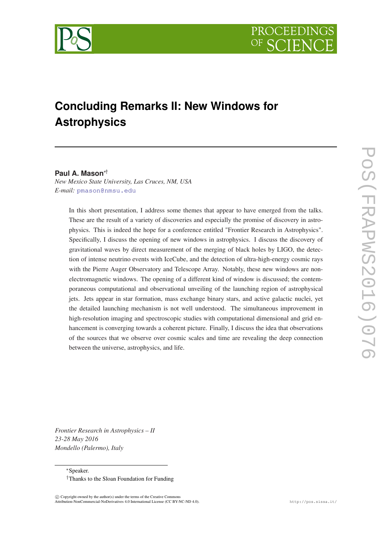

# **Concluding Remarks II: New Windows for Astrophysics**

# **Paul A. Mason**∗†

*New Mexico State University, Las Cruces, NM, USA E-mail:* [pmason@nmsu.edu](mailto:pmason@nmsu.edu)

In this short presentation, I address some themes that appear to have emerged from the talks. These are the result of a variety of discoveries and especially the promise of discovery in astrophysics. This is indeed the hope for a conference entitled "Frontier Research in Astrophysics". Specifically, I discuss the opening of new windows in astrophysics. I discuss the discovery of gravitational waves by direct measurement of the merging of black holes by LIGO, the detection of intense neutrino events with IceCube, and the detection of ultra-high-energy cosmic rays with the Pierre Auger Observatory and Telescope Array. Notably, these new windows are nonelectromagnetic windows. The opening of a different kind of window is discussed; the contemporaneous computational and observational unveiling of the launching region of astrophysical jets. Jets appear in star formation, mass exchange binary stars, and active galactic nuclei, yet the detailed launching mechanism is not well understood. The simultaneous improvement in high-resolution imaging and spectroscopic studies with computational dimensional and grid enhancement is converging towards a coherent picture. Finally, I discuss the idea that observations of the sources that we observe over cosmic scales and time are revealing the deep connection between the universe, astrophysics, and life.

*Frontier Research in Astrophysics – II 23-28 May 2016 Mondello (Palermo), Italy*

> <sup>∗</sup>Speaker. †Thanks to the Sloan Foundation for Funding

 $\overline{c}$  Copyright owned by the author(s) under the terms of the Creative Common Attribution-NonCommercial-NoDerivatives 4.0 International License (CC BY-NC-ND 4.0). http://pos.sissa.it/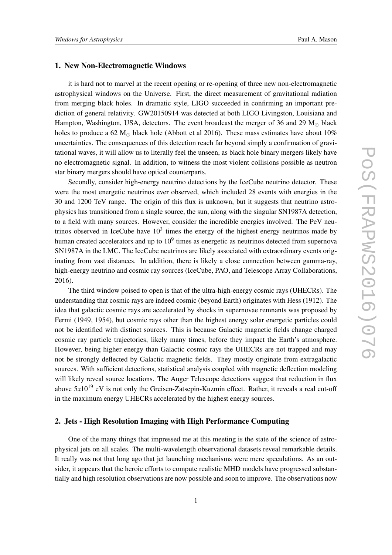#### 1. New Non-Electromagnetic Windows

it is hard not to marvel at the recent opening or re-opening of three new non-electromagnetic astrophysical windows on the Universe. First, the direct measurement of gravitational radiation from merging black holes. In dramatic style, LIGO succeeded in confirming an important prediction of general relativity. GW20150914 was detected at both LIGO Livingston, Louisiana and Hampton, Washington, USA, detectors. The event broadcast the merger of 36 and 29  $M_{\odot}$  black holes to produce a 62  $M_{\odot}$  black hole (Abbott et al 2016). These mass estimates have about 10% uncertainties. The consequences of this detection reach far beyond simply a confirmation of gravitational waves, it will allow us to literally feel the unseen, as black hole binary mergers likely have no electromagnetic signal. In addition, to witness the most violent collisions possible as neutron star binary mergers should have optical counterparts.

Secondly, consider high-energy neutrino detections by the IceCube neutrino detector. These were the most energetic neutrinos ever observed, which included 28 events with energies in the 30 and 1200 TeV range. The origin of this flux is unknown, but it suggests that neutrino astrophysics has transitioned from a single source, the sun, along with the singular SN1987A detection, to a field with many sources. However, consider the incredible energies involved. The PeV neutrinos observed in IceCube have  $10<sup>3</sup>$  times the energy of the highest energy neutrinos made by human created accelerators and up to  $10<sup>9</sup>$  times as energetic as neutrinos detected from supernova SN1987A in the LMC. The IceCube neutrinos are likely associated with extraordinary events originating from vast distances. In addition, there is likely a close connection between gamma-ray, high-energy neutrino and cosmic ray sources (IceCube, PAO, and Telescope Array Collaborations, 2016).

The third window poised to open is that of the ultra-high-energy cosmic rays (UHECRs). The understanding that cosmic rays are indeed cosmic (beyond Earth) originates with Hess (1912). The idea that galactic cosmic rays are accelerated by shocks in supernovae remnants was proposed by Fermi (1949, 1954), but cosmic rays other than the highest energy solar energetic particles could not be identified with distinct sources. This is because Galactic magnetic fields change charged cosmic ray particle trajectories, likely many times, before they impact the Earth's atmosphere. However, being higher energy than Galactic cosmic rays the UHECRs are not trapped and may not be strongly deflected by Galactic magnetic fields. They mostly originate from extragalactic sources. With sufficient detections, statistical analysis coupled with magnetic deflection modeling will likely reveal source locations. The Auger Telescope detections suggest that reduction in flux above  $5x10^{19}$  eV is not only the Greisen-Zatsepin-Kuzmin effect. Rather, it reveals a real cut-off in the maximum energy UHECRs accelerated by the highest energy sources.

#### 2. Jets - High Resolution Imaging with High Performance Computing

One of the many things that impressed me at this meeting is the state of the science of astrophysical jets on all scales. The multi-wavelength observational datasets reveal remarkable details. It really was not that long ago that jet launching mechanisms were mere speculations. As an outsider, it appears that the heroic efforts to compute realistic MHD models have progressed substantially and high resolution observations are now possible and soon to improve. The observations now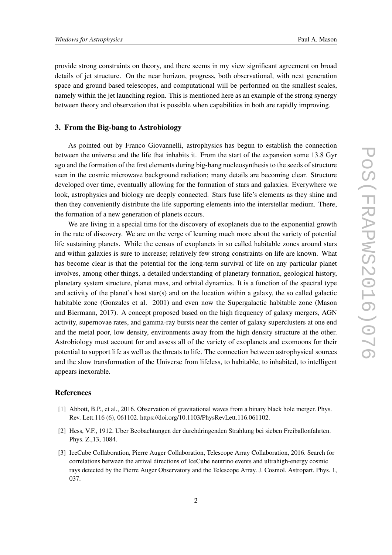provide strong constraints on theory, and there seems in my view significant agreement on broad details of jet structure. On the near horizon, progress, both observational, with next generation space and ground based telescopes, and computational will be performed on the smallest scales, namely within the jet launching region. This is mentioned here as an example of the strong synergy between theory and observation that is possible when capabilities in both are rapidly improving.

## 3. From the Big-bang to Astrobiology

As pointed out by Franco Giovannelli, astrophysics has begun to establish the connection between the universe and the life that inhabits it. From the start of the expansion some 13.8 Gyr ago and the formation of the first elements during big-bang nucleosynthesis to the seeds of structure seen in the cosmic microwave background radiation; many details are becoming clear. Structure developed over time, eventually allowing for the formation of stars and galaxies. Everywhere we look, astrophysics and biology are deeply connected. Stars fuse life's elements as they shine and then they conveniently distribute the life supporting elements into the interstellar medium. There, the formation of a new generation of planets occurs.

We are living in a special time for the discovery of exoplanets due to the exponential growth in the rate of discovery. We are on the verge of learning much more about the variety of potential life sustaining planets. While the census of exoplanets in so called habitable zones around stars and within galaxies is sure to increase; relatively few strong constraints on life are known. What has become clear is that the potential for the long-term survival of life on any particular planet involves, among other things, a detailed understanding of planetary formation, geological history, planetary system structure, planet mass, and orbital dynamics. It is a function of the spectral type and activity of the planet's host star(s) and on the location within a galaxy, the so called galactic habitable zone (Gonzales et al. 2001) and even now the Supergalactic habitable zone (Mason and Biermann, 2017). A concept proposed based on the high frequency of galaxy mergers, AGN activity, supernovae rates, and gamma-ray bursts near the center of galaxy superclusters at one end and the metal poor, low density, environments away from the high density structure at the other. Astrobiology must account for and assess all of the variety of exoplanets and exomoons for their potential to support life as well as the threats to life. The connection between astrophysical sources and the slow transformation of the Universe from lifeless, to habitable, to inhabited, to intelligent appears inexorable.

### **References**

- [1] Abbott, B.P., et al., 2016. Observation of gravitational waves from a binary black hole merger. Phys. Rev. Lett.116 (6), 061102. https://doi.org/10.1103/PhysRevLett.116.061102.
- [2] Hess, V.F., 1912. Uber Beobachtungen der durchdringenden Strahlung bei sieben Freiballonfahrten. Phys. Z.,13, 1084.
- [3] IceCube Collaboration, Pierre Auger Collaboration, Telescope Array Collaboration, 2016. Search for correlations between the arrival directions of IceCube neutrino events and ultrahigh-energy cosmic rays detected by the Pierre Auger Observatory and the Telescope Array. J. Cosmol. Astropart. Phys. 1, 037.